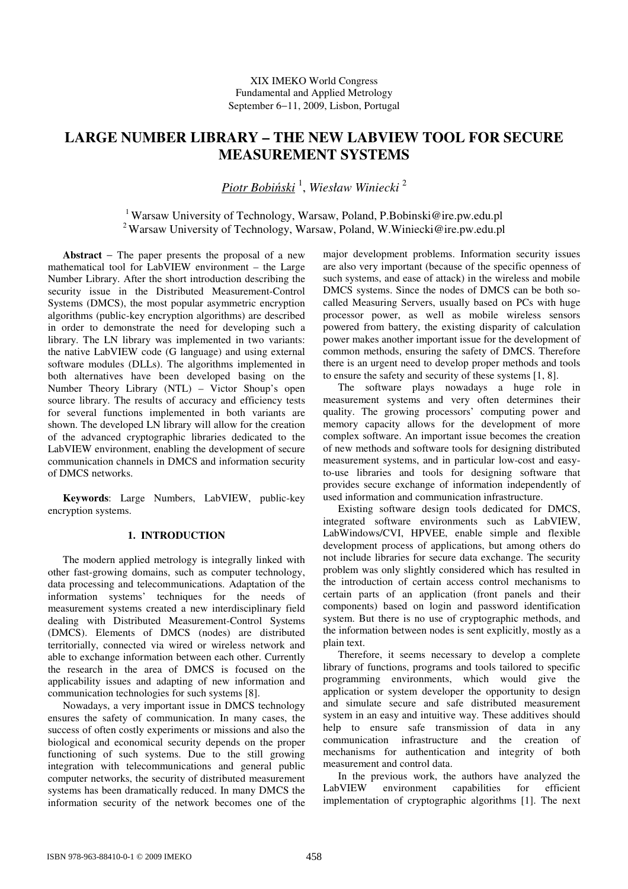# **LARGE NUMBER LIBRARY – THE NEW LABVIEW TOOL FOR SECURE MEASUREMENT SYSTEMS**

*Piotr Bobi*ń*ski* <sup>1</sup> , *Wiesław Winiecki* <sup>2</sup>

<sup>1</sup> Warsaw University of Technology, Warsaw, Poland, P.Bobinski@ire.pw.edu.pl <sup>2</sup>Warsaw University of Technology, Warsaw, Poland, W.Winiecki@ire.pw.edu.pl

**Abstract** − The paper presents the proposal of a new mathematical tool for LabVIEW environment – the Large Number Library. After the short introduction describing the security issue in the Distributed Measurement-Control Systems (DMCS), the most popular asymmetric encryption algorithms (public-key encryption algorithms) are described in order to demonstrate the need for developing such a library. The LN library was implemented in two variants: the native LabVIEW code (G language) and using external software modules (DLLs). The algorithms implemented in both alternatives have been developed basing on the Number Theory Library (NTL) – Victor Shoup's open source library. The results of accuracy and efficiency tests for several functions implemented in both variants are shown. The developed LN library will allow for the creation of the advanced cryptographic libraries dedicated to the LabVIEW environment, enabling the development of secure communication channels in DMCS and information security of DMCS networks.

**Keywords**: Large Numbers, LabVIEW, public-key encryption systems.

## **1. INTRODUCTION**

The modern applied metrology is integrally linked with other fast-growing domains, such as computer technology, data processing and telecommunications. Adaptation of the information systems' techniques for the needs of measurement systems created a new interdisciplinary field dealing with Distributed Measurement-Control Systems (DMCS). Elements of DMCS (nodes) are distributed territorially, connected via wired or wireless network and able to exchange information between each other. Currently the research in the area of DMCS is focused on the applicability issues and adapting of new information and communication technologies for such systems [8].

Nowadays, a very important issue in DMCS technology ensures the safety of communication. In many cases, the success of often costly experiments or missions and also the biological and economical security depends on the proper functioning of such systems. Due to the still growing integration with telecommunications and general public computer networks, the security of distributed measurement systems has been dramatically reduced. In many DMCS the information security of the network becomes one of the

major development problems. Information security issues are also very important (because of the specific openness of such systems, and ease of attack) in the wireless and mobile DMCS systems. Since the nodes of DMCS can be both socalled Measuring Servers, usually based on PCs with huge processor power, as well as mobile wireless sensors powered from battery, the existing disparity of calculation power makes another important issue for the development of common methods, ensuring the safety of DMCS. Therefore there is an urgent need to develop proper methods and tools to ensure the safety and security of these systems [1, 8].

The software plays nowadays a huge role in measurement systems and very often determines their quality. The growing processors' computing power and memory capacity allows for the development of more complex software. An important issue becomes the creation of new methods and software tools for designing distributed measurement systems, and in particular low-cost and easyto-use libraries and tools for designing software that provides secure exchange of information independently of used information and communication infrastructure.

Existing software design tools dedicated for DMCS, integrated software environments such as LabVIEW, LabWindows/CVI, HPVEE, enable simple and flexible development process of applications, but among others do not include libraries for secure data exchange. The security problem was only slightly considered which has resulted in the introduction of certain access control mechanisms to certain parts of an application (front panels and their components) based on login and password identification system. But there is no use of cryptographic methods, and the information between nodes is sent explicitly, mostly as a plain text.

Therefore, it seems necessary to develop a complete library of functions, programs and tools tailored to specific programming environments, which would give the application or system developer the opportunity to design and simulate secure and safe distributed measurement system in an easy and intuitive way. These additives should help to ensure safe transmission of data in any communication infrastructure and the creation of mechanisms for authentication and integrity of both measurement and control data.

In the previous work, the authors have analyzed the LabVIEW environment capabilities for efficient implementation of cryptographic algorithms [1]. The next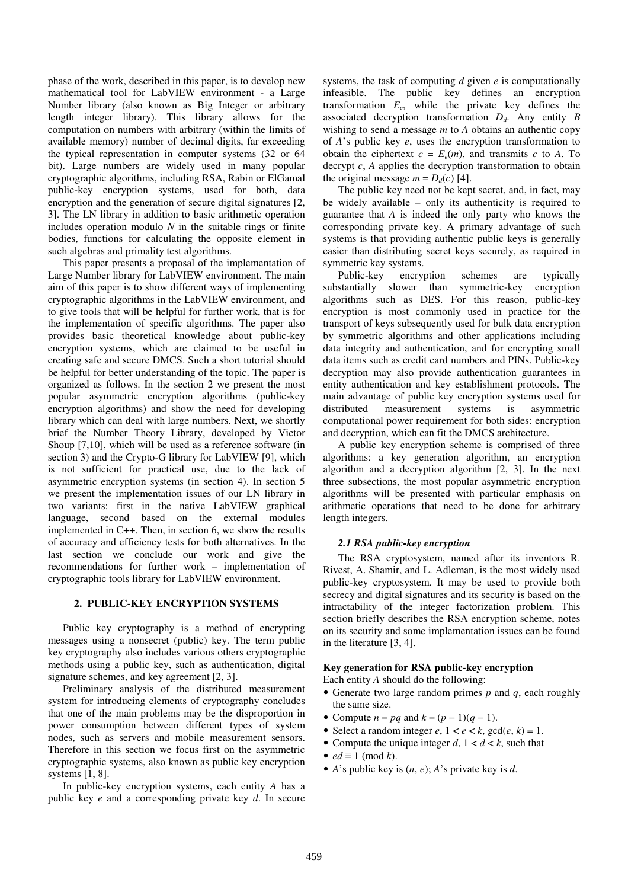phase of the work, described in this paper, is to develop new mathematical tool for LabVIEW environment - a Large Number library (also known as Big Integer or arbitrary length integer library). This library allows for the computation on numbers with arbitrary (within the limits of available memory) number of decimal digits, far exceeding the typical representation in computer systems (32 or 64 bit). Large numbers are widely used in many popular cryptographic algorithms, including RSA, Rabin or ElGamal public-key encryption systems, used for both, data encryption and the generation of secure digital signatures [2, 3]. The LN library in addition to basic arithmetic operation includes operation modulo *N* in the suitable rings or finite bodies, functions for calculating the opposite element in such algebras and primality test algorithms.

This paper presents a proposal of the implementation of Large Number library for LabVIEW environment. The main aim of this paper is to show different ways of implementing cryptographic algorithms in the LabVIEW environment, and to give tools that will be helpful for further work, that is for the implementation of specific algorithms. The paper also provides basic theoretical knowledge about public-key encryption systems, which are claimed to be useful in creating safe and secure DMCS. Such a short tutorial should be helpful for better understanding of the topic. The paper is organized as follows. In the section 2 we present the most popular asymmetric encryption algorithms (public-key encryption algorithms) and show the need for developing library which can deal with large numbers. Next, we shortly brief the Number Theory Library, developed by Victor Shoup [7,10], which will be used as a reference software (in section 3) and the Crypto-G library for LabVIEW [9], which is not sufficient for practical use, due to the lack of asymmetric encryption systems (in section 4). In section 5 we present the implementation issues of our LN library in two variants: first in the native LabVIEW graphical language, second based on the external modules implemented in C++. Then, in section 6, we show the results of accuracy and efficiency tests for both alternatives. In the last section we conclude our work and give the recommendations for further work – implementation of cryptographic tools library for LabVIEW environment.

## **2. PUBLIC-KEY ENCRYPTION SYSTEMS**

Public key cryptography is a method of encrypting messages using a nonsecret (public) key. The term public key cryptography also includes various others cryptographic methods using a public key, such as authentication, digital signature schemes, and key agreement [2, 3].

Preliminary analysis of the distributed measurement system for introducing elements of cryptography concludes that one of the main problems may be the disproportion in power consumption between different types of system nodes, such as servers and mobile measurement sensors. Therefore in this section we focus first on the asymmetric cryptographic systems, also known as public key encryption systems [1, 8].

In public-key encryption systems, each entity *A* has a public key *e* and a corresponding private key *d*. In secure systems, the task of computing *d* given *e* is computationally infeasible. The public key defines an encryption transformation *E<sup>e</sup>* , while the private key defines the associated decryption transformation *Dd*. Any entity *B* wishing to send a message *m* to *A* obtains an authentic copy of *A*'s public key *e*, uses the encryption transformation to obtain the ciphertext  $c = E_e(m)$ , and transmits *c* to *A*. To decrypt *c*, *A* applies the decryption transformation to obtain the original message  $m = D_d(c)$  [4].

The public key need not be kept secret, and, in fact, may be widely available – only its authenticity is required to guarantee that *A* is indeed the only party who knows the corresponding private key. A primary advantage of such systems is that providing authentic public keys is generally easier than distributing secret keys securely, as required in symmetric key systems.

Public-key encryption schemes are typically substantially slower than symmetric-key encryption algorithms such as DES. For this reason, public-key encryption is most commonly used in practice for the transport of keys subsequently used for bulk data encryption by symmetric algorithms and other applications including data integrity and authentication, and for encrypting small data items such as credit card numbers and PINs. Public-key decryption may also provide authentication guarantees in entity authentication and key establishment protocols. The main advantage of public key encryption systems used for distributed measurement systems is asymmetric computational power requirement for both sides: encryption and decryption, which can fit the DMCS architecture.

A public key encryption scheme is comprised of three algorithms: a key generation algorithm, an encryption algorithm and a decryption algorithm [2, 3]. In the next three subsections, the most popular asymmetric encryption algorithms will be presented with particular emphasis on arithmetic operations that need to be done for arbitrary length integers.

## *2.1 RSA public-key encryption*

The RSA cryptosystem, named after its inventors R. Rivest, A. Shamir, and L. Adleman, is the most widely used public-key cryptosystem. It may be used to provide both secrecy and digital signatures and its security is based on the intractability of the integer factorization problem. This section briefly describes the RSA encryption scheme, notes on its security and some implementation issues can be found in the literature [3, 4].

## **Key generation for RSA public-key encryption**

Each entity *A* should do the following:

- Generate two large random primes *p* and *q*, each roughly the same size.
- Compute  $n = pq$  and  $k = (p 1)(q 1)$ .
- Select a random integer  $e$ ,  $1 < e < k$ ,  $\gcd(e, k) = 1$ .
- Compute the unique integer  $d, 1 \le d \le k$ , such that
- $ed \equiv 1 \pmod{k}$ .
- *A*'s public key is (*n*, *e*); *A*'s private key is *d*.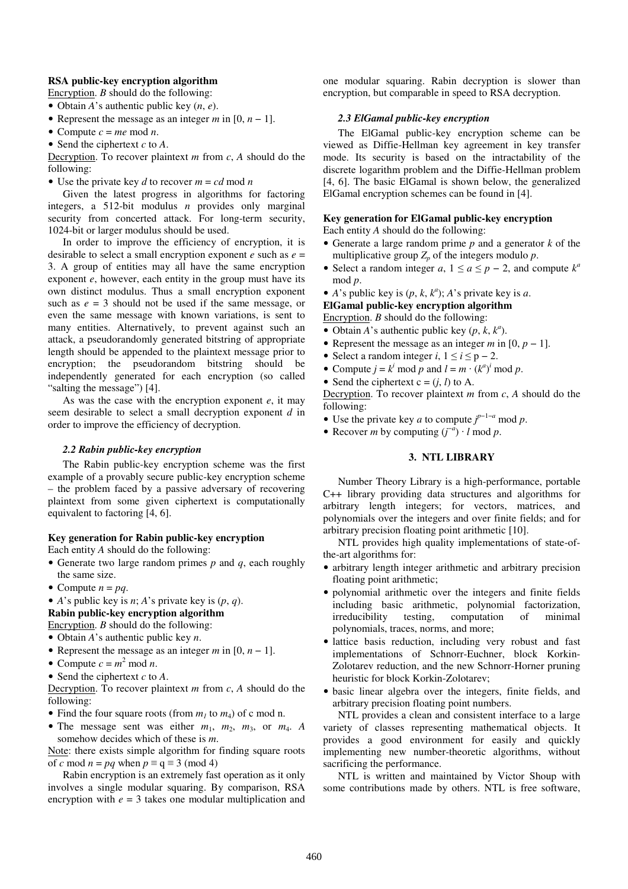### **RSA public-key encryption algorithm**

Encryption. *B* should do the following:

• Obtain *A*'s authentic public key (*n*, *e*).

- Represent the message as an integer  $m$  in [0,  $n 1$ ].
- Compute  $c = me \mod n$ .

• Send the ciphertext *c* to *A*.

Decryption. To recover plaintext *m* from *c*, *A* should do the following:

• Use the private key *d* to recover  $m = cd \mod n$ 

Given the latest progress in algorithms for factoring integers, a 512-bit modulus *n* provides only marginal security from concerted attack. For long-term security, 1024-bit or larger modulus should be used.

In order to improve the efficiency of encryption, it is desirable to select a small encryption exponent *e* such as *e* = 3. A group of entities may all have the same encryption exponent *e*, however, each entity in the group must have its own distinct modulus. Thus a small encryption exponent such as  $e = 3$  should not be used if the same message, or even the same message with known variations, is sent to many entities. Alternatively, to prevent against such an attack, a pseudorandomly generated bitstring of appropriate length should be appended to the plaintext message prior to encryption; the pseudorandom bitstring should be independently generated for each encryption (so called "salting the message") [4].

As was the case with the encryption exponent *e*, it may seem desirable to select a small decryption exponent *d* in order to improve the efficiency of decryption.

#### *2.2 Rabin public-key encryption*

The Rabin public-key encryption scheme was the first example of a provably secure public-key encryption scheme – the problem faced by a passive adversary of recovering plaintext from some given ciphertext is computationally equivalent to factoring [4, 6].

## **Key generation for Rabin public-key encryption**

Each entity *A* should do the following:

- Generate two large random primes *p* and *q*, each roughly the same size.
- Compute  $n = pq$ .
- *A*'s public key is *n*; *A*'s private key is (*p*, *q*). **Rabin public-key encryption algorithm**  Encryption. *B* should do the following:
- Obtain *A*'s authentic public key *n*.
- Represent the message as an integer  $m$  in [0,  $n 1$ ].
- Compute  $c = m^2 \text{ mod } n$ .
- Send the ciphertext *c* to *A*.

Decryption. To recover plaintext *m* from *c*, *A* should do the following:

- Find the four square roots (from  $m_l$  to  $m_d$ ) of c mod n.
- The message sent was either  $m_1$ ,  $m_2$ ,  $m_3$ , or  $m_4$ . A somehow decides which of these is *m*.

Note: there exists simple algorithm for finding square roots of *c* mod  $n = pq$  when  $p \equiv q \equiv 3 \pmod{4}$ 

Rabin encryption is an extremely fast operation as it only involves a single modular squaring. By comparison, RSA encryption with *e* = 3 takes one modular multiplication and

one modular squaring. Rabin decryption is slower than encryption, but comparable in speed to RSA decryption.

#### *2.3 ElGamal public-key encryption*

The ElGamal public-key encryption scheme can be viewed as Diffie-Hellman key agreement in key transfer mode. Its security is based on the intractability of the discrete logarithm problem and the Diffie-Hellman problem [4, 6]. The basic ElGamal is shown below, the generalized ElGamal encryption schemes can be found in [4].

# **Key generation for ElGamal public-key encryption**

Each entity *A* should do the following:

- Generate a large random prime *p* and a generator *k* of the multiplicative group  $Z_p$  of the integers modulo  $p$ .
- Select a random integer *a*,  $1 \le a \le p 2$ , and compute  $k^a$ mod *p*.
- *A*'s public key is  $(p, k, k^a)$ ; *A*'s private key is *a*.

**ElGamal public-key encryption algorithm** 

Encryption. *B* should do the following:

- Obtain *A*'s authentic public key  $(p, k, k^a)$ .
- Represent the message as an integer *m* in  $[0, p 1]$ .
- Select a random integer *i*,  $1 \le i \le p 2$ .
- Compute  $j = k^i \text{ mod } p$  and  $l = m \cdot (k^a)^i \text{ mod } p$ .
- Send the ciphertext  $c = (i, l)$  to A.

Decryption. To recover plaintext *m* from *c*, *A* should do the following:

• Use the private key *a* to compute  $j^{p-1-a} \mod p$ .

• Recover *m* by computing  $(j^{-a}) \cdot l \mod p$ .

## **3. NTL LIBRARY**

Number Theory Library is a high-performance, portable C++ library providing data structures and algorithms for arbitrary length integers; for vectors, matrices, and polynomials over the integers and over finite fields; and for arbitrary precision floating point arithmetic [10].

NTL provides high quality implementations of state-ofthe-art algorithms for:

- arbitrary length integer arithmetic and arbitrary precision floating point arithmetic;
- polynomial arithmetic over the integers and finite fields including basic arithmetic, polynomial factorization, irreducibility testing, computation of minimal polynomials, traces, norms, and more;
- lattice basis reduction, including very robust and fast implementations of Schnorr-Euchner, block Korkin-Zolotarev reduction, and the new Schnorr-Horner pruning heuristic for block Korkin-Zolotarev;
- basic linear algebra over the integers, finite fields, and arbitrary precision floating point numbers.

NTL provides a clean and consistent interface to a large variety of classes representing mathematical objects. It provides a good environment for easily and quickly implementing new number-theoretic algorithms, without sacrificing the performance.

NTL is written and maintained by Victor Shoup with some contributions made by others. NTL is free software,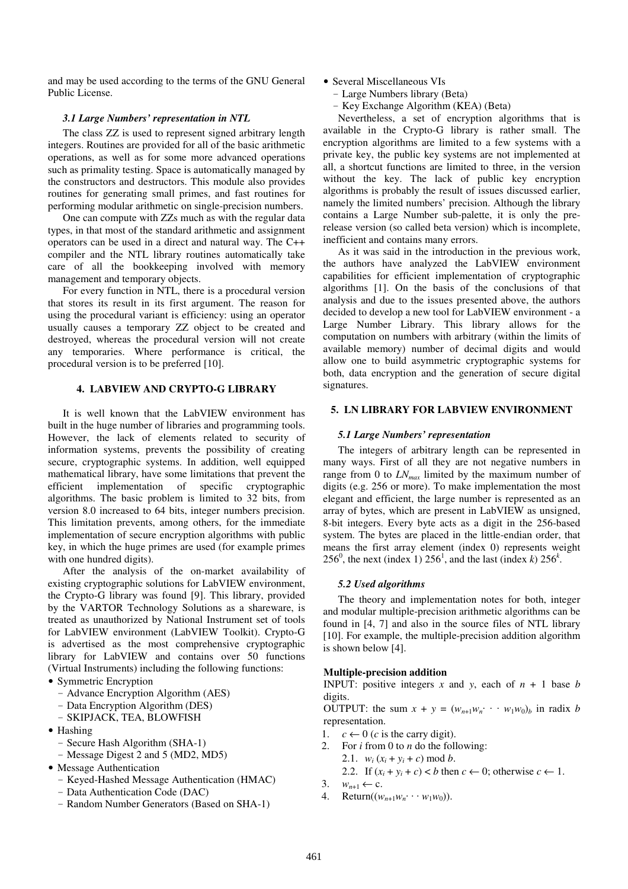and may be used according to the terms of the GNU General Public License.

## *3.1 Large Numbers' representation in NTL*

The class ZZ is used to represent signed arbitrary length integers. Routines are provided for all of the basic arithmetic operations, as well as for some more advanced operations such as primality testing. Space is automatically managed by the constructors and destructors. This module also provides routines for generating small primes, and fast routines for performing modular arithmetic on single-precision numbers.

One can compute with ZZs much as with the regular data types, in that most of the standard arithmetic and assignment operators can be used in a direct and natural way. The C++ compiler and the NTL library routines automatically take care of all the bookkeeping involved with memory management and temporary objects.

For every function in NTL, there is a procedural version that stores its result in its first argument. The reason for using the procedural variant is efficiency: using an operator usually causes a temporary ZZ object to be created and destroyed, whereas the procedural version will not create any temporaries. Where performance is critical, the procedural version is to be preferred [10].

## **4. LABVIEW AND CRYPTO-G LIBRARY**

It is well known that the LabVIEW environment has built in the huge number of libraries and programming tools. However, the lack of elements related to security of information systems, prevents the possibility of creating secure, cryptographic systems. In addition, well equipped mathematical library, have some limitations that prevent the efficient implementation of specific cryptographic algorithms. The basic problem is limited to 32 bits, from version 8.0 increased to 64 bits, integer numbers precision. This limitation prevents, among others, for the immediate implementation of secure encryption algorithms with public key, in which the huge primes are used (for example primes with one hundred digits).

After the analysis of the on-market availability of existing cryptographic solutions for LabVIEW environment, the Crypto-G library was found [9]. This library, provided by the VARTOR Technology Solutions as a shareware, is treated as unauthorized by National Instrument set of tools for LabVIEW environment (LabVIEW Toolkit). Crypto-G is advertised as the most comprehensive cryptographic library for LabVIEW and contains over 50 functions (Virtual Instruments) including the following functions:

- Symmetric Encryption
	- Advance Encryption Algorithm (AES)
	- Data Encryption Algorithm (DES)
	- SKIPJACK, TEA, BLOWFISH
- Hashing
	- Secure Hash Algorithm (SHA-1)
	- Message Digest 2 and 5 (MD2, MD5)
- Message Authentication
	- Keyed-Hashed Message Authentication (HMAC)
	- Data Authentication Code (DAC)
	- Random Number Generators (Based on SHA-1)
- Several Miscellaneous VIs
	- Large Numbers library (Beta)
	- Key Exchange Algorithm (KEA) (Beta)

Nevertheless, a set of encryption algorithms that is available in the Crypto-G library is rather small. The encryption algorithms are limited to a few systems with a private key, the public key systems are not implemented at all, a shortcut functions are limited to three, in the version without the key. The lack of public key encryption algorithms is probably the result of issues discussed earlier, namely the limited numbers' precision. Although the library contains a Large Number sub-palette, it is only the prerelease version (so called beta version) which is incomplete, inefficient and contains many errors.

As it was said in the introduction in the previous work, the authors have analyzed the LabVIEW environment capabilities for efficient implementation of cryptographic algorithms [1]. On the basis of the conclusions of that analysis and due to the issues presented above, the authors decided to develop a new tool for LabVIEW environment - a Large Number Library. This library allows for the computation on numbers with arbitrary (within the limits of available memory) number of decimal digits and would allow one to build asymmetric cryptographic systems for both, data encryption and the generation of secure digital signatures.

## **5. LN LIBRARY FOR LABVIEW ENVIRONMENT**

#### *5.1 Large Numbers' representation*

The integers of arbitrary length can be represented in many ways. First of all they are not negative numbers in range from 0 to *LNmax* limited by the maximum number of digits (e.g. 256 or more). To make implementation the most elegant and efficient, the large number is represented as an array of bytes, which are present in LabVIEW as unsigned, 8-bit integers. Every byte acts as a digit in the 256-based system. The bytes are placed in the little-endian order, that means the first array element (index 0) represents weight 256<sup>0</sup>, the next (index 1) 256<sup>1</sup>, and the last (index *k*) 256<sup>*k*</sup>.

#### *5.2 Used algorithms*

The theory and implementation notes for both, integer and modular multiple-precision arithmetic algorithms can be found in [4, 7] and also in the source files of NTL library [10]. For example, the multiple-precision addition algorithm is shown below [4].

## **Multiple-precision addition**

**INPUT:** positive integers *x* and *y*, each of  $n + 1$  base *b* digits.

OUTPUT: the sum  $x + y = (w_{n+1}w_n \cdots w_1w_0)_b$  in radix *b* representation.

- 1.  $c \leftarrow 0$  (*c* is the carry digit).
- 2. For *i* from 0 to *n* do the following:
	- 2.1.  $w_i(x_i + y_i + c) \text{ mod } b$ .
		- 2.2. If  $(x_i + y_i + c) < b$  then  $c \leftarrow 0$ ; otherwise  $c \leftarrow 1$ .
- 3.  $w_{n+1} \leftarrow c$ .
- 4. Return( $(w_{n+1}w_n \cdots w_1w_0)$ ).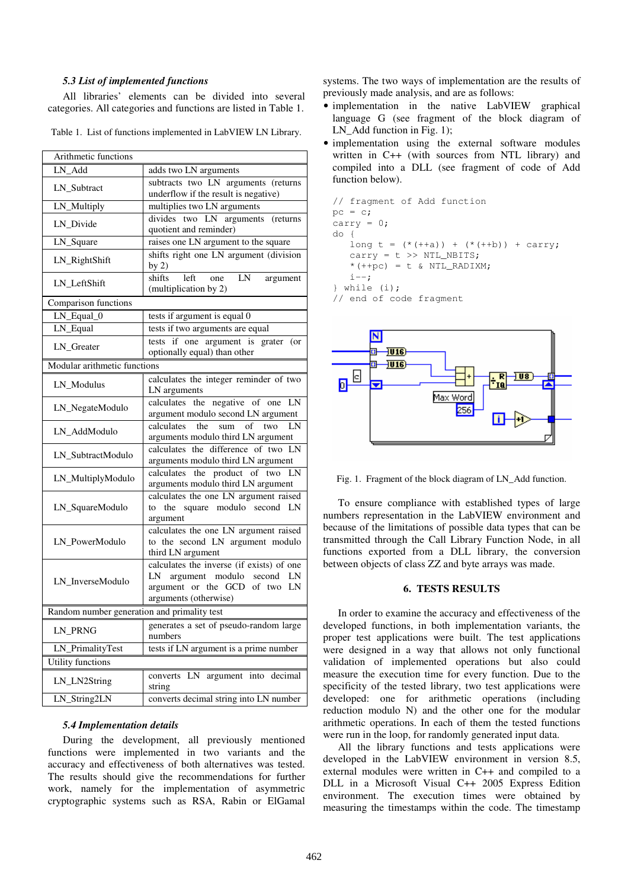## *5.3 List of implemented functions*

All libraries' elements can be divided into several categories. All categories and functions are listed in Table 1.

Table 1. List of functions implemented in LabVIEW LN Library.

| Arithmetic functions                        |                                                                                                                                     |  |  |  |
|---------------------------------------------|-------------------------------------------------------------------------------------------------------------------------------------|--|--|--|
| LN_Add                                      | adds two LN arguments                                                                                                               |  |  |  |
| LN_Subtract                                 | subtracts two LN arguments (returns<br>underflow if the result is negative)                                                         |  |  |  |
| LN_Multiply                                 | multiplies two LN arguments                                                                                                         |  |  |  |
| LN_Divide                                   | divides two LN arguments<br>(returns<br>quotient and reminder)                                                                      |  |  |  |
| LN_Square                                   | raises one LN argument to the square                                                                                                |  |  |  |
| LN_RightShift                               | shifts right one LN argument (division<br>by $2)$                                                                                   |  |  |  |
| LN_LeftShift                                | LN<br>shifts<br>left<br>one<br>argument<br>(multiplication by 2)                                                                    |  |  |  |
| Comparison functions                        |                                                                                                                                     |  |  |  |
| $\overline{LN}$ Equal $\overline{O}$        | tests if argument is equal 0                                                                                                        |  |  |  |
| LN_Equal                                    | tests if two arguments are equal                                                                                                    |  |  |  |
| LN_Greater                                  | tests if one argument is grater (or<br>optionally equal) than other                                                                 |  |  |  |
| Modular arithmetic functions                |                                                                                                                                     |  |  |  |
| LN_Modulus                                  | calculates the integer reminder of two<br>LN arguments                                                                              |  |  |  |
| LN_NegateModulo                             | calculates the negative of one LN<br>argument modulo second LN argument                                                             |  |  |  |
| LN AddModulo                                | calculates<br>sum of two<br>the<br>LN<br>arguments modulo third LN argument                                                         |  |  |  |
| LN_SubtractModulo                           | calculates the difference of two LN<br>arguments modulo third LN argument                                                           |  |  |  |
| LN_MultiplyModulo                           | calculates the product of two<br>LN<br>arguments modulo third LN argument                                                           |  |  |  |
| LN_SquareModulo                             | calculates the one LN argument raised<br>the square modulo second LN<br>to<br>argument                                              |  |  |  |
| LN_PowerModulo                              | calculates the one LN argument raised<br>to the second LN argument modulo<br>third LN argument                                      |  |  |  |
| LN_InverseModulo                            | calculates the inverse (if exists) of one<br>LN argument modulo second LN<br>argument or the GCD of two LN<br>arguments (otherwise) |  |  |  |
| Random number generation and primality test |                                                                                                                                     |  |  |  |
| LN_PRNG                                     | generates a set of pseudo-random large<br>numbers                                                                                   |  |  |  |
| LN_PrimalityTest                            | tests if LN argument is a prime number                                                                                              |  |  |  |
| Utility functions                           |                                                                                                                                     |  |  |  |
| LN_LN2String                                | LN<br>argument into decimal<br>converts<br>string                                                                                   |  |  |  |
| LN_String2LN                                | converts decimal string into LN number                                                                                              |  |  |  |
|                                             |                                                                                                                                     |  |  |  |

#### *5.4 Implementation details*

During the development, all previously mentioned functions were implemented in two variants and the accuracy and effectiveness of both alternatives was tested. The results should give the recommendations for further work, namely for the implementation of asymmetric cryptographic systems such as RSA, Rabin or ElGamal systems. The two ways of implementation are the results of previously made analysis, and are as follows:

- implementation in the native LabVIEW graphical language G (see fragment of the block diagram of LN Add function in Fig. 1);
- implementation using the external software modules written in C++ (with sources from NTL library) and compiled into a DLL (see fragment of code of Add function below).

```
// fragment of Add function 
pc = c;carry = 0; 
do { 
   long t = (* (+a)) + (* (+b)) + carry;carry = t \gg NTL_NBITS;*(+p c) = t \& NTL_RADIXM;i--;} while (i);
```




Fig. 1. Fragment of the block diagram of LN\_Add function.

To ensure compliance with established types of large numbers representation in the LabVIEW environment and because of the limitations of possible data types that can be transmitted through the Call Library Function Node, in all functions exported from a DLL library, the conversion between objects of class ZZ and byte arrays was made.

## **6. TESTS RESULTS**

In order to examine the accuracy and effectiveness of the developed functions, in both implementation variants, the proper test applications were built. The test applications were designed in a way that allows not only functional validation of implemented operations but also could measure the execution time for every function. Due to the specificity of the tested library, two test applications were developed: one for arithmetic operations (including reduction modulo N) and the other one for the modular arithmetic operations. In each of them the tested functions were run in the loop, for randomly generated input data.

All the library functions and tests applications were developed in the LabVIEW environment in version 8.5, external modules were written in C++ and compiled to a DLL in a Microsoft Visual C++ 2005 Express Edition environment. The execution times were obtained by measuring the timestamps within the code. The timestamp